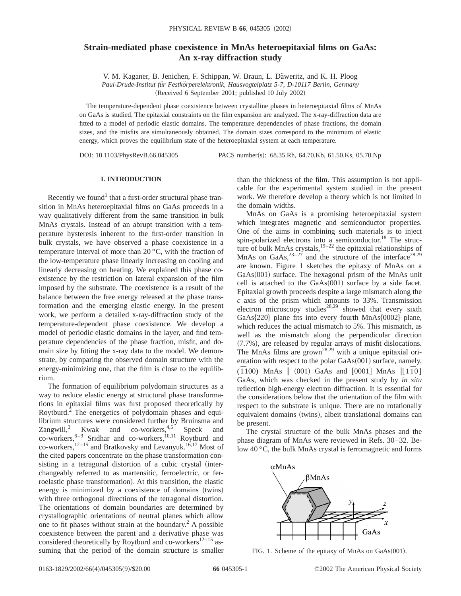# **Strain-mediated phase coexistence in MnAs heteroepitaxial films on GaAs: An x-ray diffraction study**

V. M. Kaganer, B. Jenichen, F. Schippan, W. Braun, L. Däweritz, and K. H. Ploog *Paul-Drude-Institut fu¨r Festko¨rperelektronik, Hausvogteiplatz 5-7, D-10117 Berlin, Germany*

(Received 6 September 2001; published 10 July 2002)

The temperature-dependent phase coexistence between crystalline phases in heteroepitaxial films of MnAs on GaAs is studied. The epitaxial constraints on the film expansion are analyzed. The x-ray-diffraction data are fitted to a model of periodic elastic domains. The temperature dependencies of phase fractions, the domain sizes, and the misfits are simultaneously obtained. The domain sizes correspond to the minimum of elastic energy, which proves the equilibrium state of the heteroepitaxial system at each temperature.

DOI: 10.1103/PhysRevB.66.045305 PACS number(s): 68.35.Rh, 64.70.Kb, 61.50.Ks, 05.70.Np

### **I. INTRODUCTION**

Recently we found<sup>1</sup> that a first-order structural phase transition in MnAs heteroepitaxial films on GaAs proceeds in a way qualitatively different from the same transition in bulk MnAs crystals. Instead of an abrupt transition with a temperature hysteresis inherent to the first-order transition in bulk crystals, we have observed a phase coexistence in a temperature interval of more than 20 °C, with the fraction of the low-temperature phase linearly increasing on cooling and linearly decreasing on heating. We explained this phase coexistence by the restriction on lateral expansion of the film imposed by the substrate. The coexistence is a result of the balance between the free energy released at the phase transformation and the emerging elastic energy. In the present work, we perform a detailed x-ray-diffraction study of the temperature-dependent phase coexistence. We develop a model of periodic elastic domains in the layer, and find temperature dependencies of the phase fraction, misfit, and domain size by fitting the x-ray data to the model. We demonstrate, by comparing the observed domain structure with the energy-minimizing one, that the film is close to the equilibrium.

The formation of equilibrium polydomain structures as a way to reduce elastic energy at structural phase transformations in epitaxial films was first proposed theoretically by Roytburd.<sup>2</sup> The energetics of polydomain phases and equilibrium structures were considered further by Bruinsma and Zangwill,<sup>3</sup> Kwak and co-workers,<sup>4,5</sup> Speck and co-workers,<sup>6–9</sup> Sridhar and co-workers,<sup>10,11</sup> Roytburd and co-workers,<sup>12–15</sup> and Bratkovsky and Levanyuk.<sup>16,17</sup> Most of the cited papers concentrate on the phase transformation consisting in a tetragonal distortion of a cubic crystal (interchangeably referred to as martensitic, ferroelectric, or ferroelastic phase transformation). At this transition, the elastic energy is minimized by a coexistence of domains (twins) with three orthogonal directions of the tetragonal distortion. The orientations of domain boundaries are determined by crystallographic orientations of neutral planes which allow one to fit phases without strain at the boundary.<sup>2</sup> A possible coexistence between the parent and a derivative phase was considered theoretically by Roytburd and co-workers<sup>12–15</sup> assuming that the period of the domain structure is smaller

than the thickness of the film. This assumption is not applicable for the experimental system studied in the present work. We therefore develop a theory which is not limited in the domain widths.

MnAs on GaAs is a promising heteroepitaxial system which integrates magnetic and semiconductor properties. One of the aims in combining such materials is to inject spin-polarized electrons into a semiconductor.<sup>18</sup> The structure of bulk MnAs crystals, $19-22$  the epitaxial relationships of MnAs on GaAs,  $23-27$  and the structure of the interface  $28.29$ are known. Figure 1 sketches the epitaxy of MnAs on a  $GaAs(001)$  surface. The hexagonal prism of the MnAs unit cell is attached to the  $GaAs(001)$  surface by a side facet. Epitaxial growth proceeds despite a large mismatch along the *c* axis of the prism which amounts to 33%. Transmission electron microscopy studies<sup>28,29</sup> showed that every sixth GaAs $\{220\}$  plane fits into every fourth MnAs $\{0002\}$  plane, which reduces the actual mismatch to 5%. This mismatch, as well as the mismatch along the perpendicular direction  $(7.7\%)$ , are released by regular arrays of misfit dislocations. The MnAs films are grown<sup>28,29</sup> with a unique epitaxial orientation with respect to the polar  $GaAs(001)$  surface, namely,  $(\overline{1}100)$  MnAs  $\|$  (001) GaAs and  $[0001]$  MnAs  $\|$ [1 $\overline{1}0$ ] GaAs, which was checked in the present study by *in situ* reflection high-energy electron diffraction. It is essential for the considerations below that the orientation of the film with respect to the substrate is unique. There are no rotationally equivalent domains (twins), albeit translational domains can be present.

The crystal structure of the bulk MnAs phases and the phase diagram of MnAs were reviewed in Refs. 30–32. Below 40 °C, the bulk MnAs crystal is ferromagnetic and forms



FIG. 1. Scheme of the epitaxy of MnAs on  $GaAs(001)$ .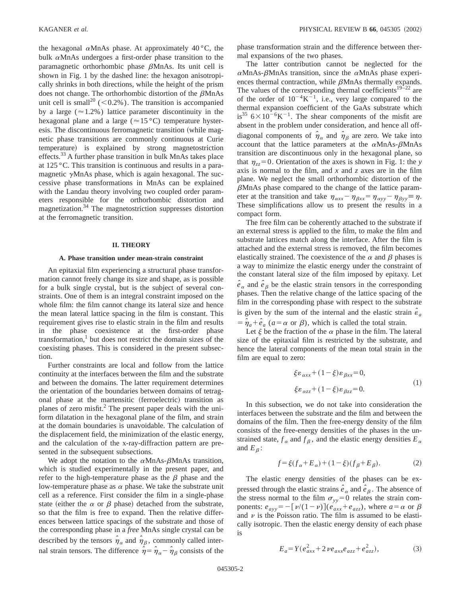the hexagonal  $\alpha$ MnAs phase. At approximately 40 °C, the bulk  $\alpha$ MnAs undergoes a first-order phase transition to the paramagnetic orthorhombic phase  $\beta$ MnAs. Its unit cell is shown in Fig. 1 by the dashed line: the hexagon anisotropically shrinks in both directions, while the height of the prism does not change. The orthorhombic distortion of the  $\beta$ MnAs unit cell is small<sup>20</sup> (<0.2%). The transition is accompanied by a large ( $\approx$  1.2%) lattice parameter discontinuity in the hexagonal plane and a large ( $\approx 15$  °C) temperature hysteresis. The discontinuous ferromagnetic transition (while magnetic phase transitions are commonly continuous at Curie temperature) is explained by strong magnetostriction effects.33 A further phase transition in bulk MnAs takes place at 125 °C. This transition is continuous and results in a paramagnetic  $\gamma$ MnAs phase, which is again hexagonal. The successive phase transformations in MnAs can be explained with the Landau theory involving two coupled order parameters responsible for the orthorhombic distortion and magnetization.<sup>34</sup> The magnetostriction suppresses distortion at the ferromagnetic transition.

#### **II. THEORY**

#### **A. Phase transition under mean-strain constraint**

An epitaxial film experiencing a structural phase transformation cannot freely change its size and shape, as is possible for a bulk single crystal, but is the subject of several constraints. One of them is an integral constraint imposed on the whole film: the film cannot change its lateral size and hence the mean lateral lattice spacing in the film is constant. This requirement gives rise to elastic strain in the film and results in the phase coexistence at the first-order phase transformation, $<sup>1</sup>$  but does not restrict the domain sizes of the</sup> coexisting phases. This is considered in the present subsection.

Further constraints are local and follow from the lattice continuity at the interfaces between the film and the substrate and between the domains. The latter requirement determines the orientation of the boundaries between domains of tetragonal phase at the martensitic (ferroelectric) transition as planes of zero misfit.<sup>2</sup> The present paper deals with the uniform dilatation in the hexagonal plane of the film, and strain at the domain boundaries is unavoidable. The calculation of the displacement field, the minimization of the elastic energy, and the calculation of the x-ray-diffraction pattern are presented in the subsequent subsections.

We adopt the notation to the  $\alpha$ MnAs- $\beta$ MnAs transition, which is studied experimentally in the present paper, and refer to the high-temperature phase as the  $\beta$  phase and the low-temperature phase as  $\alpha$  phase. We take the substrate unit cell as a reference. First consider the film in a single-phase state (either the  $\alpha$  or  $\beta$  phase) detached from the substrate, so that the film is free to expand. Then the relative differences between lattice spacings of the substrate and those of the corresponding phase in a *free* MnAs single crystal can be described by the tensors  $\hat{\eta}_{\alpha}$  and  $\hat{\eta}_{\beta}$ , commonly called internal strain tensors. The difference  $\hat{\eta} = \hat{\eta}_{\alpha} - \hat{\eta}_{\beta}$  consists of the phase transformation strain and the difference between thermal expansions of the two phases.

The latter contribution cannot be neglected for the  $\alpha$ MnAs- $\beta$ MnAs transition, since the  $\alpha$ MnAs phase experiences thermal contraction, while  $\beta$ MnAs thermally expands. The values of the corresponding thermal coefficients<sup>19–22</sup> are of the order of  $10^{-4}$ K $^{-1}$ , i.e., very large compared to the thermal expansion coefficient of the GaAs substrate which is<sup>35</sup>  $6 \times 10^{-6}$ K<sup>-1</sup>. The shear components of the misfit are absent in the problem under consideration, and hence all offdiagonal components of  $\hat{\eta}_{\alpha}$  and  $\hat{\eta}_{\beta}$  are zero. We take into account that the lattice parameters at the  $\alpha$ MnAs- $\beta$ MnAs transition are discontinuous only in the hexagonal plane, so that  $\eta_{zz} = 0$ . Orientation of the axes is shown in Fig. 1: the *y* axis is normal to the film, and *x* and *z* axes are in the film plane. We neglect the small orthorhombic distortion of the  $\beta$ MnAs phase compared to the change of the lattice parameter at the transition and take  $\eta_{\alpha xx} - \eta_{\beta xx} = \eta_{\alpha yy} - \eta_{\beta yy} \equiv \eta$ . These simplifications allow us to present the results in a compact form.

The free film can be coherently attached to the substrate if an external stress is applied to the film, to make the film and substrate lattices match along the interface. After the film is attached and the external stress is removed, the film becomes elastically strained. The coexistence of the  $\alpha$  and  $\beta$  phases is a way to minimize the elastic energy under the constraint of the constant lateral size of the film imposed by epitaxy. Let  $\hat{e}_{\alpha}$  and  $\hat{e}_{\beta}$  be the elastic strain tensors in the corresponding phases. Then the relative change of the lattice spacing of the film in the corresponding phase with respect to the substrate is given by the sum of the internal and the elastic strain  $\hat{\epsilon}_a$  $=\hat{\eta}_a + \hat{e}_a$  ( $a = \alpha$  or  $\beta$ ), which is called the total strain.

Let  $\xi$  be the fraction of the  $\alpha$  phase in the film. The lateral size of the epitaxial film is restricted by the substrate, and hence the lateral components of the mean total strain in the film are equal to zero:

$$
\xi \varepsilon_{\alpha xx} + (1 - \xi) \varepsilon_{\beta xx} = 0,
$$
  

$$
\xi \varepsilon_{\alpha zz} + (1 - \xi) \varepsilon_{\beta zz} = 0.
$$
 (1)

In this subsection, we do not take into consideration the interfaces between the substrate and the film and between the domains of the film. Then the free-energy density of the film consists of the free-energy densities of the phases in the unstrained state,  $f_{\alpha}$  and  $f_{\beta}$ , and the elastic energy densities  $E_{\alpha}$ and  $E_B$ :

$$
f = \xi (f_{\alpha} + E_{\alpha}) + (1 - \xi)(f_{\beta} + E_{\beta}).
$$
 (2)

The elastic energy densities of the phases can be expressed through the elastic strains  $\hat{e}_{\alpha}$  and  $\hat{e}_{\beta}$ . The absence of the stress normal to the film  $\sigma_{yy}=0$  relates the strain components:  $e_{ayy} = -\left[\frac{\nu}{(1-\nu)}\right](e_{axx} + e_{azz})$ , where  $a = \alpha$  or  $\beta$ and  $\nu$  is the Poisson ratio. The film is assumed to be elastically isotropic. Then the elastic energy density of each phase is

$$
E_a = Y(e_{axx}^2 + 2\nu e_{axx}e_{azz} + e_{azz}^2),
$$
 (3)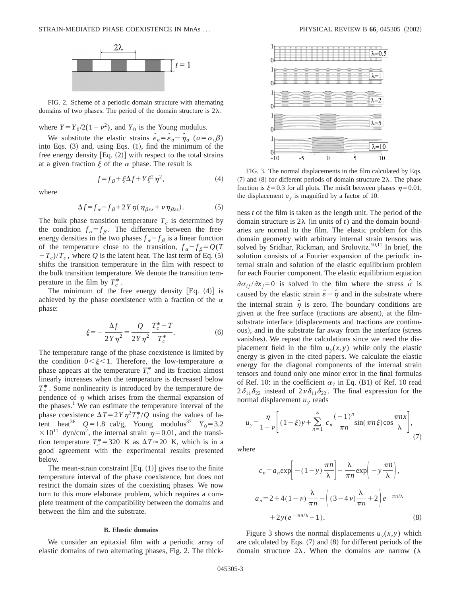

FIG. 2. Scheme of a periodic domain structure with alternating domains of two phases. The period of the domain structure is  $2\lambda$ .

where  $Y = Y_0/2(1-\nu^2)$ , and  $Y_0$  is the Young modulus.

We substitute the elastic strains  $\hat{e}_a = \hat{e}_a - \hat{\eta}_a$  ( $a = \alpha, \beta$ ) into Eqs.  $(3)$  and, using Eqs.  $(1)$ , find the minimum of the free energy density  $[Eq. (2)]$  with respect to the total strains at a given fraction  $\xi$  of the  $\alpha$  phase. The result is

$$
f = f_{\beta} + \xi \Delta f + Y \xi^2 \eta^2, \tag{4}
$$

where

$$
\Delta f = f_{\alpha} - f_{\beta} + 2Y \eta (\eta_{\beta xx} + \nu \eta_{\beta zz}). \tag{5}
$$

The bulk phase transition temperature  $T_c$  is determined by the condition  $f_{\alpha} = f_{\beta}$ . The difference between the freeenergy densities in the two phases  $f_{\alpha} - f_{\beta}$  is a linear function of the temperature close to the transition,  $f_{\alpha} - f_{\beta} = Q(T)$  $(T - T_c)/T_c$ , where *Q* is the latent heat. The last term of Eq. (5) shifts the transition temperature in the film with respect to the bulk transition temperature. We denote the transition temperature in the film by  $T_c^*$ .

The minimum of the free energy density  $[Eq. (4)]$  is achieved by the phase coexistence with a fraction of the  $\alpha$ phase:

$$
\xi = -\frac{\Delta f}{2Y\eta^2} = \frac{Q}{2Y\eta^2} \frac{T_c^* - T}{T_c^*}.
$$
 (6)

The temperature range of the phase coexistence is limited by the condition  $0<\xi<1$ . Therefore, the low-temperature  $\alpha$ phase appears at the temperature  $T_c^*$  and its fraction almost linearly increases when the temperature is decreased below  $T_c^*$ . Some nonlinearity is introduced by the temperature dependence of  $\eta$  which arises from the thermal expansion of the phases.<sup>1</sup> We can estimate the temperature interval of the phase coexistence  $\Delta T = 2Y \eta^2 T_c^*/Q$  using the values of latent heat<sup>36</sup>  $Q=1.8$  cal/g, Young modulus<sup>37</sup>  $Y_0=3.2$  $\times 10^{11}$  dyn/cm<sup>2</sup>, the internal strain  $\eta=0.01$ , and the transition temperature  $T_c^* = 320$  K as  $\Delta T \approx 20$  K, which is in a good agreement with the experimental results presented below.

The mean-strain constraint  $[Eq. (1)]$  gives rise to the finite temperature interval of the phase coexistence, but does not restrict the domain sizes of the coexisting phases. We now turn to this more elaborate problem, which requires a complete treatment of the compatibility between the domains and between the film and the substrate.

#### **B. Elastic domains**

We consider an epitaxial film with a periodic array of elastic domains of two alternating phases, Fig. 2. The thick-



FIG. 3. The normal displacements in the film calculated by Eqs.  $(7)$  and  $(8)$  for different periods of domain structure  $2\lambda$ . The phase fraction is  $\xi=0.3$  for all plots. The misfit between phases  $\eta=0.01$ , the displacement  $u<sub>y</sub>$  is magnified by a factor of 10.

ness *t* of the film is taken as the length unit. The period of the domain structure is  $2\lambda$  (in units of *t*) and the domain boundaries are normal to the film. The elastic problem for this domain geometry with arbitrary internal strain tensors was solved by Sridhar, Rickman, and Srolovitz.<sup>10,11</sup> In brief, the solution consists of a Fourier expansion of the periodic internal strain and solution of the elastic equilibrium problem for each Fourier component. The elastic equilibrium equation  $\partial \sigma_{ii} / \partial x_i = 0$  is solved in the film where the stress  $\hat{\sigma}$  is caused by the elastic strain  $\hat{\epsilon} - \hat{\eta}$  and in the substrate where the internal strain  $\hat{\eta}$  is zero. The boundary conditions are given at the free surface (tractions are absent), at the filmsubstrate interface (displacements and tractions are continuous), and in the substrate far away from the interface (stress vanishes). We repeat the calculations since we need the displacement field in the film  $u_y(x, y)$  while only the elastic energy is given in the cited papers. We calculate the elastic energy for the diagonal components of the internal strain tensors and found only one minor error in the final formulas of Ref. 10: in the coefficient  $\alpha_7$  in Eq. (B1) of Ref. 10 read  $2\delta_{11}\delta_{22}$  instead of  $2\nu \delta_{11}\delta_{22}$ . The final expression for the normal displacement  $u<sub>y</sub>$  reads

$$
u_y = \frac{\eta}{1 - \nu} \left[ (1 - \xi)y + \sum_{n=1}^{\infty} c_n \frac{(-1)^n}{\pi n} \sin(\pi n \xi) \cos \frac{\pi n x}{\lambda} \right],
$$
\n(7)

where

$$
c_n = a_n \exp\left[-(1-y)\frac{\pi n}{\lambda}\right] - \frac{\lambda}{\pi n} \exp\left(-y\frac{\pi n}{\lambda}\right),
$$
  

$$
a_n = 2 + 4(1-\nu)\frac{\lambda}{\pi n} - \left((3-4\nu)\frac{\lambda}{\pi n} + 2\right)e^{-\pi n/\lambda}
$$
  

$$
+ 2y(e^{-\pi n/\lambda} - 1).
$$
 (8)

Figure 3 shows the normal displacements  $u_y(x, y)$  which are calculated by Eqs.  $(7)$  and  $(8)$  for different periods of the domain structure  $2\lambda$ . When the domains are narrow ( $\lambda$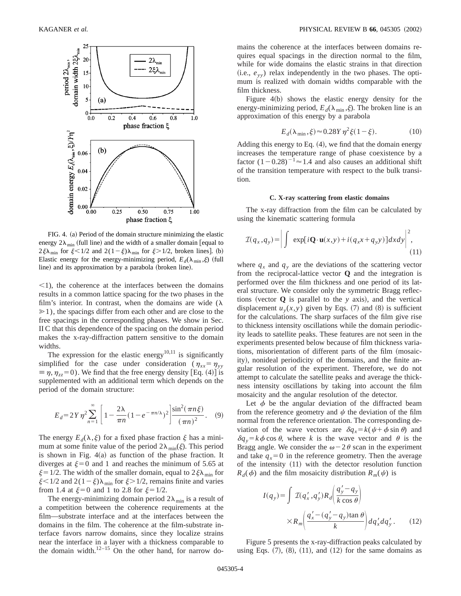

FIG. 4. (a) Period of the domain structure minimizing the elastic energy  $2\lambda_{\text{min}}$  (full line) and the width of a smaller domain [equal to  $2\xi\lambda_{\min}$  for  $\xi < 1/2$  and  $2(1-\xi)\lambda_{\min}$  for  $\xi > 1/2$ , broken lines]. (b) Elastic energy for the energy-minimizing period,  $E_d(\lambda_{\min}, \xi)$  (full line) and its approximation by a parabola (broken line).

 $\leq$ 1), the coherence at the interfaces between the domains results in a common lattice spacing for the two phases in the film's interior. In contrast, when the domains are wide  $(\lambda)$  $\geq 1$ ), the spacings differ from each other and are close to the free spacings in the corresponding phases. We show in Sec. II C that this dependence of the spacing on the domain period makes the x-ray-diffraction pattern sensitive to the domain widths.

The expression for the elastic energy<sup>10,11</sup> is significantly simplified for the case under consideration ( $\eta_{xx} = \eta_{yy}$  $\equiv \eta, \eta_{zz} = 0$ ). We find that the free energy density [Eq. (4)] is supplemented with an additional term which depends on the period of the domain structure:

$$
E_d = 2Y\eta^2 \sum_{n=1}^{\infty} \left[ 1 - \frac{2\lambda}{\pi n} (1 - e^{-\pi n/\lambda})^2 \right] \frac{\sin^2(\pi n \xi)}{(\pi n)^2}.
$$
 (9)

The energy  $E_d(\lambda,\xi)$  for a fixed phase fraction  $\xi$  has a minimum at some finite value of the period  $2\lambda_{\min}(\xi)$ . This period is shown in Fig.  $4(a)$  as function of the phase fraction. It diverges at  $\xi=0$  and 1 and reaches the minimum of 5.65 at  $\xi = 1/2$ . The width of the smaller domain, equal to  $2\xi\lambda_{\min}$  for  $\xi$ <1/2 and 2(1- $\xi$ ) $\lambda$ <sub>min</sub> for  $\xi$ >1/2, remains finite and varies from 1.4 at  $\xi=0$  and 1 to 2.8 for  $\xi=1/2$ .

The energy-minimizing domain period  $2\lambda_{\min}$  is a result of a competition between the coherence requirements at the film—substrate interface and at the interfaces between the domains in the film. The coherence at the film-substrate interface favors narrow domains, since they localize strains near the interface in a layer with a thickness comparable to the domain width.<sup>12–15</sup> On the other hand, for narrow domains the coherence at the interfaces between domains requires equal spacings in the direction normal to the film, while for wide domains the elastic strains in that direction  $(i.e., e_{yy})$  relax independently in the two phases. The optimum is realized with domain widths comparable with the film thickness.

Figure  $4(b)$  shows the elastic energy density for the energy-minimizing period,  $E_d(\lambda_{\min}, \xi)$ . The broken line is an approximation of this energy by a parabola

$$
E_d(\lambda_{\min}, \xi) \approx 0.28Y \eta^2 \xi (1 - \xi). \tag{10}
$$

Adding this energy to Eq.  $(4)$ , we find that the domain energy increases the temperature range of phase coexistence by a factor  $(1-0.28)^{-1} \approx 1.4$  and also causes an additional shift of the transition temperature with respect to the bulk transition.

#### **C. X-ray scattering from elastic domains**

The x-ray diffraction from the film can be calculated by using the kinematic scattering formula

$$
\mathcal{I}(q_x, q_y) = \left| \int \exp[i\mathbf{Q}\cdot\mathbf{u}(x, y) + i(q_x x + q_y y)] dx dy \right|^2,
$$
\n(11)

where  $q_x$  and  $q_y$  are the deviations of the scattering vector from the reciprocal-lattice vector **Q** and the integration is performed over the film thickness and one period of its lateral structure. We consider only the symmetric Bragg reflections (vector  $Q$  is parallel to the *y* axis), and the vertical displacement  $u_y(x, y)$  given by Eqs. (7) and (8) is sufficient for the calculations. The sharp surfaces of the film give rise to thickness intensity oscillations while the domain periodicity leads to satellite peaks. These features are not seen in the experiments presented below because of film thickness variations, misorientation of different parts of the film (mosaicity), nonideal periodicity of the domains, and the finite angular resolution of the experiment. Therefore, we do not attempt to calculate the satellite peaks and average the thickness intensity oscillations by taking into account the film mosaicity and the angular resolution of the detector.

Let  $\phi$  be the angular deviation of the diffracted beam from the reference geometry and  $\psi$  the deviation of the film normal from the reference orientation. The corresponding deviation of the wave vectors are  $\delta q_x = k(\psi + \phi \sin \theta)$  and  $\delta q_y = k \phi \cos \theta$ , where *k* is the wave vector and  $\theta$  is the Bragg angle. We consider the  $\omega - 2\theta$  scan in the experiment and take  $q_x=0$  in the reference geometry. Then the average of the intensity  $(11)$  with the detector resolution function  $R_d(\phi)$  and the film mosaicity distribution  $R_m(\psi)$  is

$$
I(q_y) = \int \mathcal{I}(q'_x, q'_y) R_d \left(\frac{q'_y - q_y}{k \cos \theta}\right)
$$

$$
\times R_m \left(\frac{q'_x - (q'_y - q_y) \tan \theta}{k}\right) dq'_x dq'_y. \qquad (12)
$$

Figure 5 presents the x-ray-diffraction peaks calculated by using Eqs.  $(7)$ ,  $(8)$ ,  $(11)$ , and  $(12)$  for the same domains as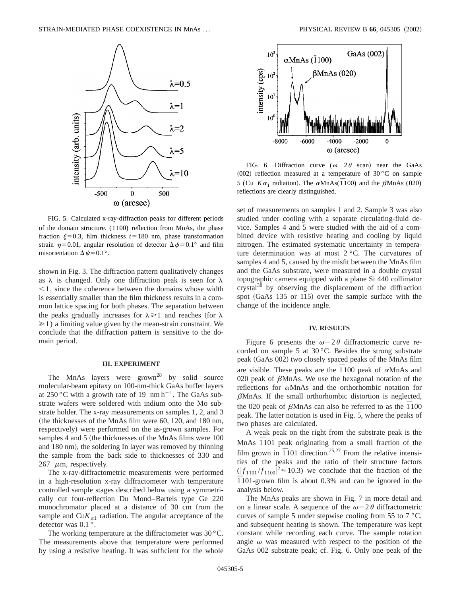

FIG. 5. Calculated x-ray-diffraction peaks for different periods of the domain structure.  $(\overline{1}100)$  reflection from MnAs, the phase fraction  $\xi=0.3$ , film thickness  $t=180$  nm, phase transformation strain  $\eta=0.01$ , angular resolution of detector  $\Delta \phi=0.1^{\circ}$  and film misorientation  $\Delta \psi = 0.1^{\circ}$ .

shown in Fig. 3. The diffraction pattern qualitatively changes as  $\lambda$  is changed. Only one diffraction peak is seen for  $\lambda$  $<$ 1, since the coherence between the domains whose width is essentially smaller than the film thickness results in a common lattice spacing for both phases. The separation between the peaks gradually increases for  $\lambda \geq 1$  and reaches (for  $\lambda$ )  $\geq 1$ ) a limiting value given by the mean-strain constraint. We conclude that the diffraction pattern is sensitive to the domain period.

# **III. EXPERIMENT**

The MnAs layers were  $\text{grow}^{28}$  by solid source molecular-beam epitaxy on 100-nm-thick GaAs buffer layers at 250 °C with a growth rate of 19  $\text{nm}\,\text{h}^{-1}$ . The GaAs substrate wafers were soldered with indium onto the Mo substrate holder. The x-ray measurements on samples 1, 2, and 3 (the thicknesses of the MnAs film were  $60$ , 120, and 180 nm, respectively) were performed on the as-grown samples. For samples 4 and 5 (the thicknesses of the MnAs films were 100 and 180 nm), the soldering In layer was removed by thinning the sample from the back side to thicknesses of 330 and 267  $\mu$ m, respectively.

The x-ray-diffractometric measurements were performed in a high-resolution x-ray diffractometer with temperature controlled sample stages described below using a symmetrically cut four-reflection Du Mond–Bartels type Ge 220 monochromator placed at a distance of 30 cm from the sample and  $\text{Cu}K_{\alpha1}$  radiation. The angular acceptance of the detector was 0.1°.

The working temperature at the diffractometer was 30 °C. The measurements above that temperature were performed by using a resistive heating. It was sufficient for the whole



FIG. 6. Diffraction curve  $(\omega - 2\theta \text{ scan})$  near the GaAs (002) reflection measured at a temperature of  $30^{\circ}$ C on sample 5 (Cu  $K\alpha_1$  radiation). The  $\alpha$ MnAs( $\overline{1}$ 100) and the  $\beta$ MnAs (020) reflections are clearly distinguished.

set of measurements on samples 1 and 2. Sample 3 was also studied under cooling with a separate circulating-fluid device. Samples 4 and 5 were studied with the aid of a combined device with resistive heating and cooling by liquid nitrogen. The estimated systematic uncertainty in temperature determination was at most 2 °C. The curvatures of samples 4 and 5, caused by the misfit between the MnAs film and the GaAs substrate, were measured in a double crystal topographic camera equipped with a plane Si 440 collimator crystal<sup>38</sup> by observing the displacement of the diffraction spot  $(GaAs 135 or 115)$  over the sample surface with the change of the incidence angle.

#### **IV. RESULTS**

Figure 6 presents the  $\omega - 2\theta$  diffractometric curve recorded on sample 5 at 30 °C. Besides the strong substrate peak (GaAs 002) two closely spaced peaks of the MnAs film are visible. These peaks are the  $\overline{1}100$  peak of  $\alpha$ MnAs and 020 peak of  $\beta$ MnAs. We use the hexagonal notation of the reflections for  $\alpha$ MnAs and the orthorhombic notation for  $\beta$ MnAs. If the small orthorhombic distortion is neglected, the 020 peak of  $\beta$ MnAs can also be referred to as the  $\overline{1}100$ peak. The latter notation is used in Fig. 5, where the peaks of two phases are calculated.

A weak peak on the right from the substrate peak is the MnAs  $\overline{1}101$  peak originating from a small fraction of the film grown in  $\overline{1}101$  direction.<sup>25,27</sup> From the relative intensities of the peaks and the ratio of their structure factors  $(|f_{1101}/f_{1100}|^2 \approx 10.3)$  we conclude that the fraction of the *¯* 1101-grown film is about 0.3% and can be ignored in the analysis below.

The MnAs peaks are shown in Fig. 7 in more detail and on a linear scale. A sequence of the  $\omega - 2\theta$  diffractometric curves of sample 5 under stepwise cooling from 55 to  $7 \degree C$ , and subsequent heating is shown. The temperature was kept constant while recording each curve. The sample rotation angle  $\omega$  was measured with respect to the position of the GaAs 002 substrate peak; cf. Fig. 6. Only one peak of the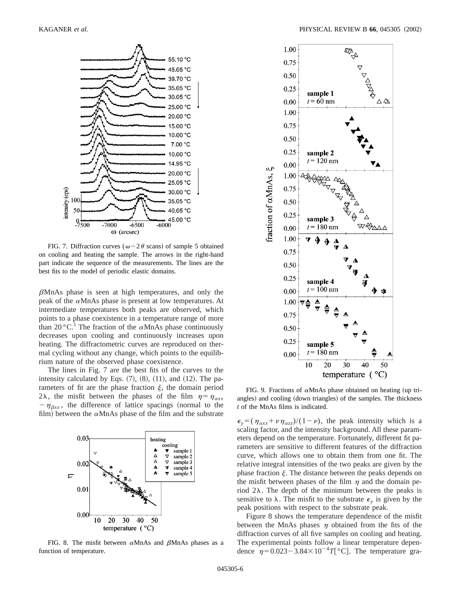

FIG. 7. Diffraction curves ( $\omega$  – 2 $\theta$  scans) of sample 5 obtained on cooling and heating the sample. The arrows in the right-hand part indicate the sequence of the measurements. The lines are the best fits to the model of periodic elastic domains.

 $\beta$ MnAs phase is seen at high temperatures, and only the peak of the  $\alpha$ MnAs phase is present at low temperatures. At intermediate temperatures both peaks are observed, which points to a phase coexistence in a temperature range of more than 20 °C.<sup>1</sup> The fraction of the  $\alpha$ MnAs phase continuously decreases upon cooling and continuously increases upon heating. The diffractometric curves are reproduced on thermal cycling without any change, which points to the equilibrium nature of the observed phase coexistence.

The lines in Fig. 7 are the best fits of the curves to the intensity calculated by Eqs.  $(7)$ ,  $(8)$ ,  $(11)$ , and  $(12)$ . The parameters of fit are the phase fraction  $\xi$ , the domain period 2 $\lambda$ , the misfit between the phases of the film  $\eta = \eta_{\alpha xx}$  $-\eta_{\beta xx}$ , the difference of lattice spacings (normal to the film) between the  $\alpha$ MnAs phase of the film and the substrate



FIG. 8. The misfit between  $\alpha$ MnAs and  $\beta$ MnAs phases as a function of temperature.



FIG. 9. Fractions of  $\alpha$ MnAs phase obtained on heating (up triangles) and cooling (down triangles) of the samples. The thickness *t* of the MnAs films is indicated.

 $\epsilon_y = (\eta_{\alpha xx} + \nu \eta_{\alpha zz})/(1-\nu)$ , the peak intensity which is a scaling factor, and the intensity background. All these parameters depend on the temperature. Fortunately, different fit parameters are sensitive to different features of the diffraction curve, which allows one to obtain them from one fit. The relative integral intensities of the two peaks are given by the phase fraction  $\xi$ . The distance between the peaks depends on the misfit between phases of the film  $\eta$  and the domain period  $2\lambda$ . The depth of the minimum between the peaks is sensitive to  $\lambda$ . The misfit to the substrate  $\epsilon$ <sub>y</sub> is given by the peak positions with respect to the substrate peak.

Figure 8 shows the temperature dependence of the misfit between the MnAs phases  $\eta$  obtained from the fits of the diffraction curves of all five samples on cooling and heating. The experimental points follow a linear temperature dependence  $\eta=0.023-3.84\times10^{-4}T$  °C. The temperature gra-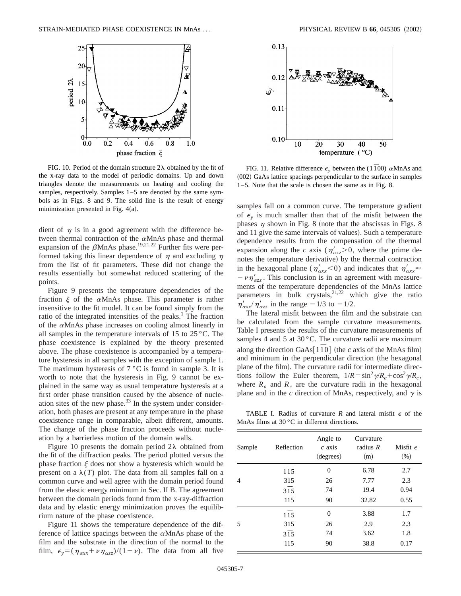

FIG. 10. Period of the domain structure  $2\lambda$  obtained by the fit of the x-ray data to the model of periodic domains. Up and down triangles denote the measurements on heating and cooling the samples, respectively. Samples 1–5 are denoted by the same symbols as in Figs. 8 and 9. The solid line is the result of energy minimization presented in Fig.  $4(a)$ .

dient of  $\eta$  is in a good agreement with the difference between thermal contraction of the  $\alpha$ MnAs phase and thermal expansion of the  $\beta$ MnAs phase.<sup>19,21,22</sup> Further fits were performed taking this linear dependence of  $\eta$  and excluding  $\eta$ from the list of fit parameters. These did not change the results essentially but somewhat reduced scattering of the points.

Figure 9 presents the temperature dependencies of the fraction  $\xi$  of the  $\alpha$ MnAs phase. This parameter is rather insensitive to the fit model. It can be found simply from the ratio of the integrated intensities of the peaks.<sup>1</sup> The fraction of the  $\alpha$ MnAs phase increases on cooling almost linearly in all samples in the temperature intervals of 15 to 25 °C. The phase coexistence is explained by the theory presented above. The phase coexistence is accompanied by a temperature hysteresis in all samples with the exception of sample 1. The maximum hysteresis of  $7^{\circ}$ C is found in sample 3. It is worth to note that the hysteresis in Fig. 9 cannot be explained in the same way as usual temperature hysteresis at a first order phase transition caused by the absence of nucleation sites of the new phase. $33$  In the system under consideration, both phases are present at any temperature in the phase coexistence range in comparable, albeit different, amounts. The change of the phase fraction proceeds without nucleation by a barrierless motion of the domain walls.

Figure 10 presents the domain period  $2\lambda$  obtained from the fit of the diffraction peaks. The period plotted versus the phase fraction  $\xi$  does not show a hysteresis which would be present on a  $\lambda(T)$  plot. The data from all samples fall on a common curve and well agree with the domain period found from the elastic energy minimum in Sec. II B. The agreement between the domain periods found from the x-ray-diffraction data and by elastic energy minimization proves the equilibrium nature of the phase coexistence.

Figure 11 shows the temperature dependence of the difference of lattice spacings between the  $\alpha$ MnAs phase of the film and the substrate in the direction of the normal to the film,  $\epsilon_y = (\eta_{\alpha xx} + \nu \eta_{\alpha zz})/(1-\nu)$ . The data from all five



FIG. 11. Relative difference  $\epsilon$ <sub>v</sub> between the (1<sup> $\bar{1}$ 00)  $\alpha$ MnAs and</sup>  $(002)$  GaAs lattice spacings perpendicular to the surface in samples 1–5. Note that the scale is chosen the same as in Fig. 8.

samples fall on a common curve. The temperature gradient of  $\epsilon$ <sub>y</sub> is much smaller than that of the misfit between the phases  $\eta$  shown in Fig. 8 (note that the abscissas in Figs. 8) and 11 give the same intervals of values). Such a temperature dependence results from the compensation of the thermal expansion along the *c* axis ( $\eta_{\alpha z}$  8 = 0, where the prime denotes the temperature derivative) by the thermal contraction in the hexagonal plane ( $\eta'_{\alpha xx}$ <0) and indicates that  $\eta'_{\alpha xx}$  $-\nu \eta_{\alpha z}^{\prime}$ . This conclusion is in an agreement with measurements of the temperature dependencies of the MnAs lattice parameters in bulk crystals,  $2^{1,22}$  which give the ratio  $\eta'_{\alpha xx} / \eta'_{\alpha zz}$  in the range  $-1/3$  to  $-1/2$ .

The lateral misfit between the film and the substrate can be calculated from the sample curvature measurements. Table I presents the results of the curvature measurements of samples 4 and 5 at  $30^{\circ}$ C. The curvature radii are maximum along the direction GaAs  $1\overline{1}0$  (the *c* axis of the MnAs film) and minimum in the perpendicular direction (the hexagonal plane of the film). The curvature radii for intermediate directions follow the Euler theorem,  $1/R = \sin^2 \gamma /R_a + \cos^2 \gamma /R_c$ , where  $R_a$  and  $R_c$  are the curvature radii in the hexagonal plane and in the  $c$  direction of MnAs, respectively, and  $\gamma$  is

TABLE I. Radius of curvature  $R$  and lateral misfit  $\epsilon$  of the MnAs films at 30 °C in different directions.

| Sample | Reflection       | Angle to<br>$c$ axis<br>(degrees) | Curvature<br>radius $R$<br>(m) | Misfit $\epsilon$<br>(% ) |
|--------|------------------|-----------------------------------|--------------------------------|---------------------------|
|        | $1\overline{1}5$ | $\overline{0}$                    | 6.78                           | 2.7                       |
| 4      | 315              | 26                                | 7.77                           | 2.3                       |
|        | $3\overline{1}5$ | 74                                | 19.4                           | 0.94                      |
|        | 115              | 90                                | 32.82                          | 0.55                      |
|        | $1\bar{1}5$      | $\theta$                          | 3.88                           | 1.7                       |
| 5      | 315              | 26                                | 2.9                            | 2.3                       |
|        | $3\overline{1}5$ | 74                                | 3.62                           | 1.8                       |
|        | 115              | 90                                | 38.8                           | 0.17                      |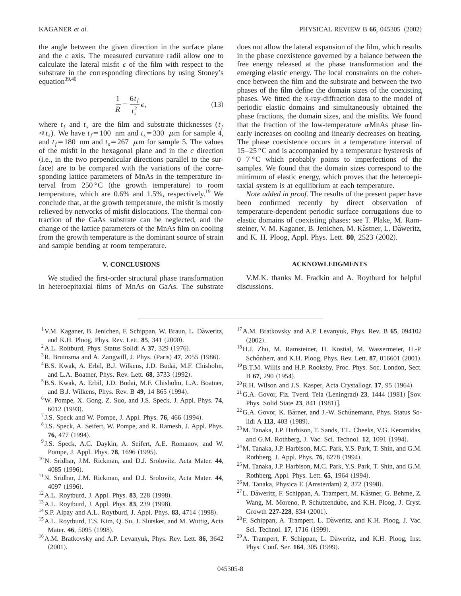the angle between the given direction in the surface plane and the *c* axis. The measured curvature radii allow one to calculate the lateral misfit  $\epsilon$  of the film with respect to the substrate in the corresponding directions by using Stoney's equation<sup>39,40</sup>

$$
\frac{1}{R} = \frac{6t_f}{t_s^2} \epsilon,\tag{13}
$$

where  $t_f$  and  $t_s$  are the film and substrate thicknesses  $(t_f)$  $\ll t_s$ ). We have  $t_f$ =100 nm and  $t_s$ =330  $\mu$ m for sample 4, and  $t_f$ =180 nm and  $t_s$ =267  $\mu$ m for sample 5. The values of the misfit in the hexagonal plane and in the *c* direction  $(i.e.,$  in the two perpendicular directions parallel to the surface) are to be compared with the variations of the corresponding lattice parameters of MnAs in the temperature interval from  $250 °C$  (the growth temperature) to room temperature, which are  $0.6\%$  and  $1.5\%$ , respectively.<sup>19</sup> We conclude that, at the growth temperature, the misfit is mostly relieved by networks of misfit dislocations. The thermal contraction of the GaAs substrate can be neglected, and the change of the lattice parameters of the MnAs film on cooling from the growth temperature is the dominant source of strain and sample bending at room temperature.

## **V. CONCLUSIONS**

We studied the first-order structural phase transformation in heteroepitaxial films of MnAs on GaAs. The substrate does not allow the lateral expansion of the film, which results in the phase coexistence governed by a balance between the free energy released at the phase transformation and the emerging elastic energy. The local constraints on the coherence between the film and the substrate and between the two phases of the film define the domain sizes of the coexisting phases. We fitted the x-ray-diffraction data to the model of periodic elastic domains and simultaneously obtained the phase fractions, the domain sizes, and the misfits. We found that the fraction of the low-temperature  $\alpha$ MnAs phase linearly increases on cooling and linearly decreases on heating. The phase coexistence occurs in a temperature interval of  $15-25$  °C and is accompanied by a temperature hysteresis of  $0 - 7$  °C which probably points to imperfections of the samples. We found that the domain sizes correspond to the minimum of elastic energy, which proves that the heteroepitaxial system is at equilibrium at each temperature.

*Note added in proof.* The results of the present paper have been confirmed recently by direct observation of temperature-dependent periodic surface corrugations due to elastic domains of coexisting phases: see T. Plake, M. Ramsteiner, V. M. Kaganer, B. Jenichen, M. Kästner, L. Däweritz, and K. H. Ploog, Appl. Phys. Lett. **80**, 2523 (2002).

### **ACKNOWLEDGMENTS**

V.M.K. thanks M. Fradkin and A. Roytburd for helpful discussions.

- <sup>1</sup> V.M. Kaganer, B. Jenichen, F. Schippan, W. Braun, L. Däweritz, and K.H. Ploog, Phys. Rev. Lett. **85**, 341 (2000).
- $2$ A.L. Roitburd, Phys. Status Solidi A 37, 329 (1976).
- ${}^{3}$ R. Bruinsma and A. Zangwill, J. Phys. (Paris) 47, 2055 (1986).
- 4B.S. Kwak, A. Erbil, B.J. Wilkens, J.D. Budai, M.F. Chisholm, and L.A. Boatner, Phys. Rev. Lett. **68**, 3733 (1992).
- 5B.S. Kwak, A. Erbil, J.D. Budai, M.F. Chisholm, L.A. Boatner, and B.J. Wilkens, Phys. Rev. B 49, 14 865 (1994).
- 6W. Pompe, X. Gong, Z. Suo, and J.S. Speck, J. Appl. Phys. **74**, 6012 (1993).
- $7$  J.S. Speck and W. Pompe, J. Appl. Phys. **76**, 466 (1994).
- <sup>8</sup> J.S. Speck, A. Seifert, W. Pompe, and R. Ramesh, J. Appl. Phys. 76, 477 (1994).
- <sup>9</sup> J.S. Speck, A.C. Daykin, A. Seifert, A.E. Romanov, and W. Pompe, J. Appl. Phys. **78**, 1696 (1995).
- 10N. Sridhar, J.M. Rickman, and D.J. Srolovitz, Acta Mater. **44**, 4085 (1996).
- 11N. Sridhar, J.M. Rickman, and D.J. Srolovitz, Acta Mater. **44**, 4097 (1996).
- <sup>12</sup> A.L. Roytburd, J. Appl. Phys. **83**, 228 (1998).
- $^{13}$  A.L. Roytburd, J. Appl. Phys. **83**, 239 (1998).
- $^{14}$  S.P. Alpay and A.L. Roytburd, J. Appl. Phys. 83, 4714 (1998).
- <sup>15</sup> A.L. Roytburd, T.S. Kim, Q. Su, J. Slutsker, and M. Wuttig, Acta Mater. 46, 5095 (1998).
- 16A.M. Bratkovsky and A.P. Levanyuk, Phys. Rev. Lett. **86**, 3642  $(2001).$
- 17A.M. Bratkovsky and A.P. Levanyuk, Phys. Rev. B **65**, 094102  $(2002).$
- 18H.J. Zhu, M. Ramsteiner, H. Kostial, M. Wassermeier, H.-P. Schönherr, and K.H. Ploog, Phys. Rev. Lett. **87**, 016601 (2001).
- 19B.T.M. Willis and H.P. Rooksby, Proc. Phys. Soc. London, Sect. B 67, 290 (1954).
- $^{20}$ R.H. Wilson and J.S. Kasper, Acta Crystallogr. **17**, 95 (1964).
- $^{21}$ G.A. Govor, Fiz. Tverd. Tela (Leningrad) 23, 1444  $(1981)$  [Sov. Phys. Solid State 23, 841 (1981)].
- $22$ G.A. Govor, K. Bärner, and J.-W. Schünemann, Phys. Status Solidi A 113, 403 (1989).
- 23M. Tanaka, J.P. Harbison, T. Sands, T.L. Cheeks, V.G. Keramidas, and G.M. Rothberg, J. Vac. Sci. Technol. **12**, 1091 (1994).
- 24M. Tanaka, J.P. Harbison, M.C. Park, Y.S. Park, T. Shin, and G.M. Rothberg, J. Appl. Phys. **76**, 6278 (1994).
- 25M. Tanaka, J.P. Harbison, M.C. Park, Y.S. Park, T. Shin, and G.M. Rothberg, Appl. Phys. Lett. **65**, 1964 (1994).
- <sup>26</sup>M. Tanaka, Physica E (Amsterdam) **2**, 372 (1998).
- $27$ L. Däweritz, F. Schippan, A. Trampert, M. Kästner, G. Behme, Z. Wang, M. Moreno, P. Schützendübe, and K.H. Ploog, J. Cryst. Growth 227-228, 834 (2001).
- <sup>28</sup>F. Schippan, A. Trampert, L. Däweritz, and K.H. Ploog, J. Vac. Sci. Technol. **17**, 1716 (1999).
- <sup>29</sup> A. Trampert, F. Schippan, L. Däweritz, and K.H. Ploog, Inst. Phys. Conf. Ser. 164, 305 (1999).